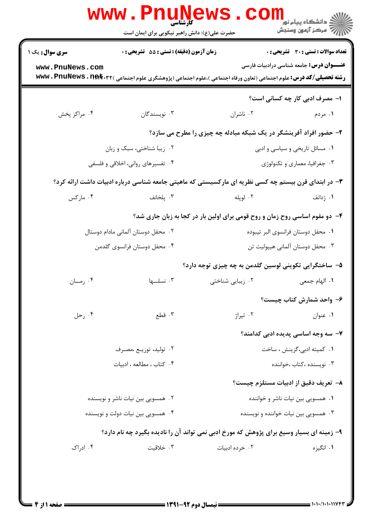| <b>WWW</b> .                                                                             | کارشناسی<br>حضرت علی(ع): دانش راهبر نیکویی برای ایمان است                                                                                       |                                                                   | ڪ دانشڪاه پيام نور<br>ا∛ مرڪز آزمون وسنڊش        |
|------------------------------------------------------------------------------------------|-------------------------------------------------------------------------------------------------------------------------------------------------|-------------------------------------------------------------------|--------------------------------------------------|
| <b>سری سوال :</b> یک ۱                                                                   | زمان آزمون (دقیقه) : تستی : 55 آتشریحی : 0                                                                                                      |                                                                   | <b>تعداد سوالات : تستي : 30 - تشريحي : 0</b>     |
| www.PnuNews.com                                                                          | <b>رشته تحصیلی/کد درس:</b> علوم اجتماعی (تعاون ورفاه اجتماعی )،علوم اجتماعی (پژوهشگری علوم اجتماعی ) <b>www . PnuNews . n<del>el</del>t</b> .۳۲ |                                                                   | <b>عنــــوان درس:</b> جامعه شناسی درادبیات فارسی |
|                                                                                          |                                                                                                                                                 |                                                                   | ۱– مصرف ادبی کار چه کسانی است؟                   |
| ۰۴ مراکز پخش                                                                             | ۰۳ نویسندگان                                                                                                                                    | ۰۲ ناشران                                                         | ۱. مردم                                          |
|                                                                                          |                                                                                                                                                 | ۲- حضور افراد آفرینشگر در یک شبکه مبادله چه چیزی را مطرح می سازد؟ |                                                  |
|                                                                                          | ۰۲ زیبا شناختی، سبک و زبان                                                                                                                      |                                                                   | ۰۱ مسائل تاریخی و سیاسی و ادبی                   |
|                                                                                          | ۰۴ تفسیرهای روانی، اخلاقی و فلسفی                                                                                                               |                                                                   | ۰۳ جغرافیا، معماری و تکنولوژی                    |
|                                                                                          | ۳- در ابتدای قرن بیستم چه کسی نظریه ای مارکسیستی که ماهیتی جامعه شناسی درباره ادبیات داشت ارائه کرد؟                                            |                                                                   |                                                  |
| ۰۴ مارکس                                                                                 | ۰۳ پلخانف                                                                                                                                       | ۰۲ لوپله                                                          | ۰۱ ژدانف                                         |
|                                                                                          | ۴- دو مفوم اساسی روح زمان و روح قومی برای اولین بار در کجا به زبان جاری شد؟                                                                     |                                                                   |                                                  |
|                                                                                          | ۰۲ محفل دوستان آلمانی مادام دوستال                                                                                                              | ٠١ محفل دوستان فرانسوي البر تيبوده                                |                                                  |
|                                                                                          | ۰۴ محفل دوستان فرانسوی گلدمن                                                                                                                    |                                                                   | ۰۳ محفل دوستان آلمانی هیپولیت تن                 |
|                                                                                          |                                                                                                                                                 | ۵− ساختگرایی تکوینی لوسین گلدمن به چه چیزی توجه دارد؟             |                                                  |
| ۰۴ رمــان                                                                                | ۰۳ نسلها                                                                                                                                        | ۰۲ زیبایی شناختی                                                  | ٠١. الهام جمعى                                   |
|                                                                                          |                                                                                                                                                 |                                                                   | ۶– واحد شمارش کتاب چیست؟                         |
| ۰۴ رحل                                                                                   | ۰۳ قطع                                                                                                                                          | ۰۲ تیراژ                                                          | ۰۱ عنوان                                         |
|                                                                                          |                                                                                                                                                 |                                                                   | ۷– سه وجه اساسی پدیده ادبی کدامند؟               |
|                                                                                          | ۰۲ تولید، توزیـع ،مصـرف                                                                                                                         |                                                                   | ۰۱ كميته ادبي،گزينش ، ساخت                       |
|                                                                                          | ۰۴ کتاب، مطالعه، ادبیات                                                                                                                         |                                                                   | ۰۳ نویسنده ،کتاب ،خواننده                        |
|                                                                                          |                                                                                                                                                 |                                                                   | ۸– تعریف دقیق از ادبیات مستلزم چیست؟             |
| ۰۲ همسویی بین نیات ناشر و نویسنده                                                        |                                                                                                                                                 | ۰۱ همسویی بین نیات ناشر و خواننده                                 |                                                  |
|                                                                                          | ۰۴ همسویی بین نیات دولت و نویسنده                                                                                                               |                                                                   | ۰۳ همسویی بین نیات خواننده و نویسنده             |
| ۹- زمینه ای بسیار وسیع برای پژوهش که مورخ ادبی نمی تواند آن را نادیده بگیرد چه نام دارد؟ |                                                                                                                                                 |                                                                   |                                                  |
| ۰۴ ادراک                                                                                 | ۰۳ خلاقیت                                                                                                                                       | ۰۲ خرده ادبیات                                                    | ۰۱ انگیزه                                        |
|                                                                                          |                                                                                                                                                 |                                                                   |                                                  |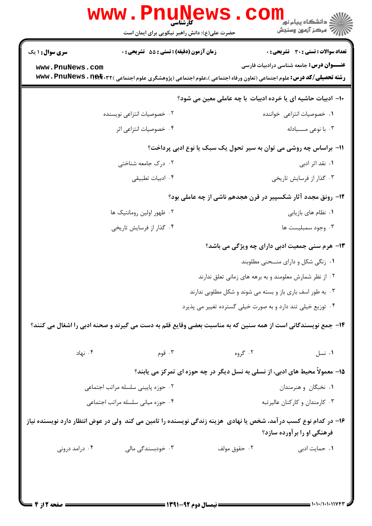|                                                                                                                                                  | www . Pni<br>حضرت علی(ع): دانش راهبر نیکویی برای ایمان است                                                        |                                                             | د دانشگاه پیام نور<br>ا∛ مرکز آزمون وسنجش                                    |  |
|--------------------------------------------------------------------------------------------------------------------------------------------------|-------------------------------------------------------------------------------------------------------------------|-------------------------------------------------------------|------------------------------------------------------------------------------|--|
| <b>سری سوال : ۱ یک</b>                                                                                                                           | زمان آزمون (دقيقه) : تستى : 55 تشريحى : 0                                                                         |                                                             | تعداد سوالات : تستى : 30 - تشريحي : 0                                        |  |
| www.PnuNews.com                                                                                                                                  |                                                                                                                   |                                                             | <b>عنــــوان درس:</b> جامعه شناسی درادبیات فارسی                             |  |
|                                                                                                                                                  | رشته تحصیلی/کد درس: علوم اجتماعی (تعاون ورفاه اجتماعی )،علوم اجتماعی (پژوهشگری علوم اجتماعی ) www . PnuNews . net |                                                             |                                                                              |  |
| ∙ا− ادبیات حاشیه ای یا خرده ادبیات ًبا چه عاملی معین می شود؟                                                                                     |                                                                                                                   |                                                             |                                                                              |  |
|                                                                                                                                                  | ۰۲ خصوصیات انتزاعی نویسنده                                                                                        |                                                             | ۰۱ خصوصیات انتزاعی خواننده                                                   |  |
|                                                                                                                                                  | ۰۴ خصوصیات انتزاعی اثر                                                                                            |                                                             | ۰۳ با نوعی مــــبادله                                                        |  |
| 11- براساس چه روشی می توان به سیر تحول یک سبک یا نوع ادبی پرداخت؟                                                                                |                                                                                                                   |                                                             |                                                                              |  |
|                                                                                                                                                  | ۲. درک جامعه شناختی                                                                                               |                                                             | ۰۱ نقد اثر ادبی                                                              |  |
|                                                                                                                                                  | ۰۴ ادبیات تطبیقی                                                                                                  |                                                             | ۰۳ گذار از فرسایش تاریخی                                                     |  |
| ۱۲- رونق مجدد آثار شکسپیر در قرن هجدهم ناشی از چه عاملی بود؟                                                                                     |                                                                                                                   |                                                             |                                                                              |  |
|                                                                                                                                                  | ۰۲ ظهور اولین رومانتیک ها                                                                                         |                                                             | ٠١. نظام هاي بازيابي                                                         |  |
|                                                                                                                                                  | ۰۴ گذار از فرسایش تاریخی                                                                                          |                                                             | ۰۳ وجود سمبليست ها                                                           |  |
|                                                                                                                                                  |                                                                                                                   |                                                             | ۱۳- هرم سنی جمعیت ادبی دارای چه ویژگی می باشد؟                               |  |
|                                                                                                                                                  |                                                                                                                   |                                                             | ۰۱ زنگی شکل و دارای منــحنی مطلوبند                                          |  |
|                                                                                                                                                  |                                                                                                                   |                                                             | ۰۲ از نظر شمارش معلومند و به برهه های زمانی تعلق ندارند                      |  |
|                                                                                                                                                  |                                                                                                                   | ۰۳ به طور اسف باری باز و بسته می شوند و شکل مطلوبی ندارند   |                                                                              |  |
|                                                                                                                                                  |                                                                                                                   | ۰۴ توزیع خیلی تند دارد و به صورت خیلی گسترده تغییر می پذیرد |                                                                              |  |
| ۱۴- جمع نویسندگانی است از همه سنین که به مناسبت بعضی وقایع قلم به دست می گیرند و صحنه ادبی را اشغال می کنند؟                                     |                                                                                                                   |                                                             |                                                                              |  |
| ۰۴ نهاد                                                                                                                                          | ۰۳ قوم                                                                                                            | ۰۲ گروه                                                     | ٠١ نسل                                                                       |  |
|                                                                                                                                                  |                                                                                                                   |                                                             | ۱۵- معمولاً محیط های ادبی، از نسلی به نسل دیگر در چه حوزه ای تمرکز می یابند؟ |  |
|                                                                                                                                                  | ۰۲ حوزه پایینی سلسله مراتب اجتماعی                                                                                |                                                             | ۰۱ نخبگان و هنرمندان                                                         |  |
|                                                                                                                                                  | ۰۴ حوزه میانی سلسله مراتب اجتماعی                                                                                 |                                                             | ۰۳ کارمندان و کارکنان عالیرتبه                                               |  |
| ۱۶– در کدام نوع کسب در آمد، شخص یا نهادی ًهزینه زندگی نویسنده را تامین می کند ًولی در عوض انتظار دارد نویسنده نیاز<br>فرهنگی او را برآورده سازد؟ |                                                                                                                   |                                                             |                                                                              |  |
| ۰۴ درامد درونی                                                                                                                                   | ۰۳ خودبسندگی مالی                                                                                                 | ۰۲ حقوق مولف                                                | ۰۱ حمایت ادبی                                                                |  |
|                                                                                                                                                  | $\frac{1}{2}$ (was avec the figure )                                                                              |                                                             | 1.1.11.1.11VFF                                                               |  |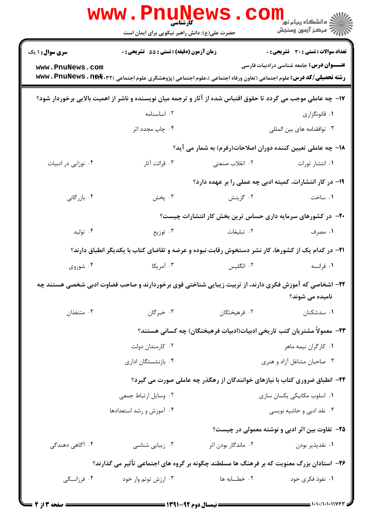|                                                                                                                                                                                                                                                                    | <b>www.PnuNews</b><br>کارشناسی<br>حضرت علی(ع): دانش راهبر نیکویی برای ایمان است |                                                                            | رد دانشڪاه پيام نور ■<br>ا <i>را</i> =<br>مرڪز آزمون وسنڊش |  |
|--------------------------------------------------------------------------------------------------------------------------------------------------------------------------------------------------------------------------------------------------------------------|---------------------------------------------------------------------------------|----------------------------------------------------------------------------|------------------------------------------------------------|--|
| <b>سری سوال : ۱ یک</b>                                                                                                                                                                                                                                             | زمان آزمون (دقیقه) : تستی : 55 آتشریحی : 0                                      |                                                                            | تعداد سوالات : تستى : 30 - تشريحي : 0                      |  |
| www.PnuNews.com                                                                                                                                                                                                                                                    |                                                                                 |                                                                            | <b>عنــــوان درس:</b> جامعه شناسی درادبیات فارسی           |  |
| <b>رشته تحصیلی/کد درس:</b> علوم اجتماعی (تعاون ورفاه اجتماعی )،علوم اجتماعی (پژوهشگری علوم اجتماعی ) <b>www . PnuNews . n<del>et</del> . r</b> ۲<br>۱۷– چه عاملی موجب می گردد تا حقوق اقتباس شده از آثار و ترجمه میان نویسنده و ناشر از اهمیت بالایی برخوردار شود؟ |                                                                                 |                                                                            |                                                            |  |
|                                                                                                                                                                                                                                                                    | ۰۲ اساسنامه                                                                     |                                                                            | ۰۱ قانونگزاری                                              |  |
|                                                                                                                                                                                                                                                                    | ۰۴ چاپ مجدد اثر                                                                 |                                                                            | ۰۳ توافقنامه های بین المللی                                |  |
|                                                                                                                                                                                                                                                                    |                                                                                 | ۱۸– چه عاملی تعیین کننده دوران اصلاحات(رفرم) به شمار می آید؟               |                                                            |  |
| ۰۴ نوزایی در ادبیات                                                                                                                                                                                                                                                | ۰۳ قرائت آثار                                                                   | ۲. انقلاب صنعتی                                                            | ٠١. انتشار تورات                                           |  |
|                                                                                                                                                                                                                                                                    |                                                                                 | ۱۹– در کار انتشارات، کمیته ادبی چه عملی را بر عهده دارد؟                   |                                                            |  |
| ۰۴ بازرگانی                                                                                                                                                                                                                                                        | ۰۳ پخش                                                                          | ۰۲ گزینش                                                                   | ۰۱ ساخت                                                    |  |
|                                                                                                                                                                                                                                                                    |                                                                                 | +۲- در کشورهای سرمایه داری حساس ترین بخش کار انتشارات چیست؟                |                                                            |  |
| ۰۴ تولید                                                                                                                                                                                                                                                           | ۰۳ توزیع                                                                        | ۰۲ تبلیغات                                                                 | ۰۱ مصرف                                                    |  |
| <b>۲۱</b> - در کدام یک از کشورها، کار نشر دستخوش رقابت نبوده و عرضه و تقاضای کتاب با یکدیگر انطباق دارند؟                                                                                                                                                          |                                                                                 |                                                                            |                                                            |  |
| ۰۴ شوروی                                                                                                                                                                                                                                                           | ۰۳ آمریکا                                                                       | ۰۲ انگلیس                                                                  | ۰۱ فرانسه                                                  |  |
| ۲۲- اشخاصی که آموزش فکری دارند، از تربیت زیبایی شناختی قوی برخوردارند و صاحب قضاوت ادبی شخصی هستند چه                                                                                                                                                              |                                                                                 |                                                                            | نامیده می شوند؟                                            |  |
| ۰۴ متنفذان                                                                                                                                                                                                                                                         | ۰۳ خبرگان                                                                       | ۰۲ فرهيختگان                                                               | ۰۱ سدشکنان                                                 |  |
|                                                                                                                                                                                                                                                                    |                                                                                 | ٢٣– معمولاً مشتريان كتب تاريخي ادبيات(ادبيات فرهيختگان) چه كساني هستند؟    |                                                            |  |
|                                                                                                                                                                                                                                                                    | ۰۲ کارمندان دولت                                                                |                                                                            | ۰۱ كارگران نيمه ماهر                                       |  |
|                                                                                                                                                                                                                                                                    | ۰۴ بازنشستگان اداری                                                             |                                                                            | ۰۳ صاحبان مشاغل آزاد و هنری                                |  |
|                                                                                                                                                                                                                                                                    |                                                                                 | ۲۴- انطباق ضروری کتاب با نیازهای خوانندگان از رهگذر چه عاملی صورت می گیرد؟ |                                                            |  |
|                                                                                                                                                                                                                                                                    | ۰۲ وسایل ارتباط جمعی                                                            |                                                                            | ٠١ اسلوب مكانيكي يكسان سازى                                |  |
|                                                                                                                                                                                                                                                                    | ۰۴ آموزش و رشد استعدادها                                                        |                                                                            | ۰۳ نقد ادبی و حاشیه نویسی                                  |  |
|                                                                                                                                                                                                                                                                    |                                                                                 |                                                                            | ۲۵– تفاوت بین اثر ادبی و نوشته معمولی در چیست؟             |  |
| ۰۴ آگاهی دهندگی                                                                                                                                                                                                                                                    | ۰۳ زیبایی شناسی                                                                 | ۰۲ ماندگار بودن اثر                                                        | ۰۱ نقدپذیر بودن                                            |  |
| ۲۶– استادان بزرگ معنویت که بر فرهنگ ها مسلطند چگونه بر گروه های اجتماعی تأثیر می گذارند؟                                                                                                                                                                           |                                                                                 |                                                                            |                                                            |  |
| ۰۴ فرزانسگی                                                                                                                                                                                                                                                        | ۰۳ ارزش توتم وار خود                                                            | ٠٢ خطـــابه ها                                                             | ۰۱ نفوذ فکری خود                                           |  |
|                                                                                                                                                                                                                                                                    |                                                                                 |                                                                            |                                                            |  |